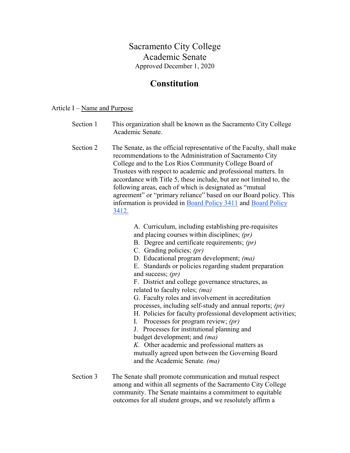# Sacramento City College Academic Senate Approved December 1, 2020

# Constitution

## Article  $I - Name$  and Purpose

| Section 1 | This organization shall be known as the Sacramento City College |
|-----------|-----------------------------------------------------------------|
|           | Academic Senate.                                                |

Section 2 The Senate, as the official representative of the Faculty, shall make recommendations to the Administration of Sacramento City College and to the Los Rios Community College Board of Trustees with respect to academic and professional matters. In accordance with Title 5, these include, but are not limited to, the following areas, each of which is designated as "mutual agreement" or "primary reliance" based on our Board policy. This information is provided in Board Policy 3411 and Board Policy 3412.

A. Curriculum, including establishing pre-requisites

- and placing courses within disciplines; (pr)
- B. Degree and certificate requirements; (pr)
- C. Grading policies; (pr)
- D. Educational program development; (ma)
- E. Standards or policies regarding student preparation and success; (pr)

F. District and college governance structures, as related to faculty roles; (ma)

G. Faculty roles and involvement in accreditation processes, including self-study and annual reports; (pr)

- H. Policies for faculty professional development activities;
- I. Processes for program review; (pr)

J. Processes for institutional planning and budget development; and (ma)

K. Other academic and professional matters as mutually agreed upon between the Governing Board and the Academic Senate. (ma)

Section 3 The Senate shall promote communication and mutual respect among and within all segments of the Sacramento City College community. The Senate maintains a commitment to equitable outcomes for all student groups, and we resolutely affirm a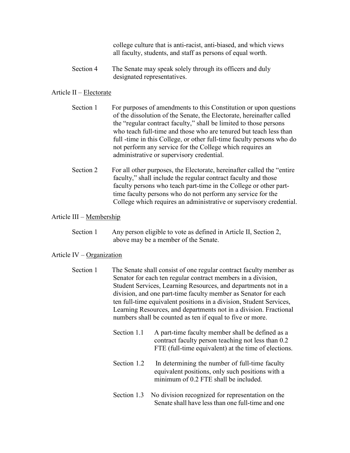college culture that is anti-racist, anti-biased, and which views all faculty, students, and staff as persons of equal worth.

Section 4 The Senate may speak solely through its officers and duly designated representatives.

#### Article II – Electorate

- Section 1 For purposes of amendments to this Constitution or upon questions of the dissolution of the Senate, the Electorate, hereinafter called the "regular contract faculty," shall be limited to those persons who teach full-time and those who are tenured but teach less than full -time in this College, or other full-time faculty persons who do not perform any service for the College which requires an administrative or supervisory credential.
- Section 2 For all other purposes, the Electorate, hereinafter called the "entire" faculty," shall include the regular contract faculty and those faculty persons who teach part-time in the College or other parttime faculty persons who do not perform any service for the College which requires an administrative or supervisory credential.

## Article III – Membership

Section 1 Any person eligible to vote as defined in Article II, Section 2, above may be a member of the Senate.

#### Article IV – Organization

- Section 1 The Senate shall consist of one regular contract faculty member as Senator for each ten regular contract members in a division, Student Services, Learning Resources, and departments not in a division, and one part-time faculty member as Senator for each ten full-time equivalent positions in a division, Student Services, Learning Resources, and departments not in a division. Fractional numbers shall be counted as ten if equal to five or more.
	- Section 1.1 A part-time faculty member shall be defined as a contract faculty person teaching not less than 0.2 FTE (full-time equivalent) at the time of elections.
	- Section 1.2 In determining the number of full-time faculty equivalent positions, only such positions with a minimum of 0.2 FTE shall be included.
	- Section 1.3 No division recognized for representation on the Senate shall have less than one full-time and one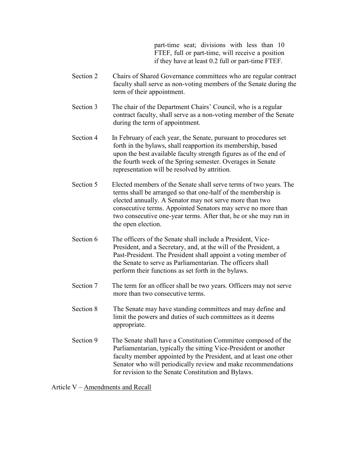part-time seat; divisions with less than 10 FTEF, full or part-time, will receive a position if they have at least 0.2 full or part-time FTEF.

- Section 2 Chairs of Shared Governance committees who are regular contract faculty shall serve as non-voting members of the Senate during the term of their appointment.
- Section 3 The chair of the Department Chairs' Council, who is a regular contract faculty, shall serve as a non-voting member of the Senate during the term of appointment.
- Section 4 In February of each year, the Senate, pursuant to procedures set forth in the bylaws, shall reapportion its membership, based upon the best available faculty strength figures as of the end of the fourth week of the Spring semester. Overages in Senate representation will be resolved by attrition.
- Section 5 Elected members of the Senate shall serve terms of two years. The terms shall be arranged so that one-half of the membership is elected annually. A Senator may not serve more than two consecutive terms. Appointed Senators may serve no more than two consecutive one-year terms. After that, he or she may run in the open election.
- Section 6 The officers of the Senate shall include a President, Vice-President, and a Secretary, and, at the will of the President, a Past-President. The President shall appoint a voting member of the Senate to serve as Parliamentarian. The officers shall perform their functions as set forth in the bylaws.
- Section 7 The term for an officer shall be two years. Officers may not serve more than two consecutive terms.
- Section 8 The Senate may have standing committees and may define and limit the powers and duties of such committees as it deems appropriate.
- Section 9 The Senate shall have a Constitution Committee composed of the Parliamentarian, typically the sitting Vice-President or another faculty member appointed by the President, and at least one other Senator who will periodically review and make recommendations for revision to the Senate Constitution and Bylaws.

Article V – Amendments and Recall